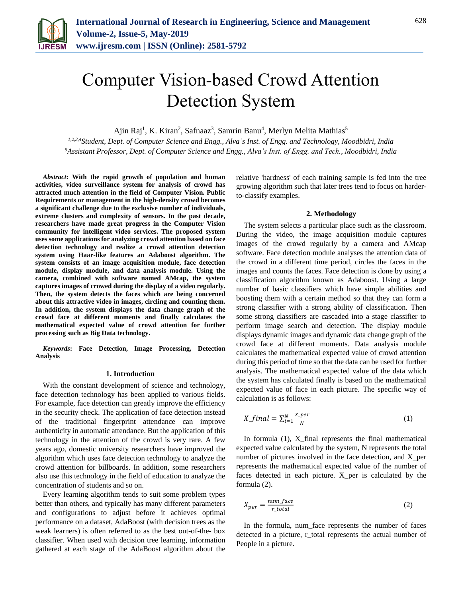

# Computer Vision-based Crowd Attention Detection System

Ajin Raj<sup>1</sup>, K. Kiran<sup>2</sup>, Safnaaz<sup>3</sup>, Samrin Banu<sup>4</sup>, Merlyn Melita Mathias<sup>5</sup>

*1,2,3,4Student, Dept. of Computer Science and Engg., Alva's Inst. of Engg. and Technology, Moodbidri, India 5Assistant Professor, Dept. of Computer Science and Engg., Alva's Inst. of Engg. and Tech., Moodbidri, India*

*Abstract***: With the rapid growth of population and human activities, video surveillance system for analysis of crowd has attracted much attention in the field of Computer Vision. Public Requirements or management in the high-density crowd becomes a significant challenge due to the exclusive number of individuals, extreme clusters and complexity of sensors. In the past decade, researchers have made great progress in the Computer Vision community for intelligent video services. The proposed system uses some applications for analyzing crowd attention based on face detection technology and realize a crowd attention detection system using Haar-like features an Adaboost algorithm. The system consists of an image acquisition module, face detection module, display module, and data analysis module. Using the camera, combined with software named AMcap, the system captures images of crowed during the display of a video regularly. Then, the system detects the faces which are being concerned about this attractive video in images, circling and counting them. In addition, the system displays the data change graph of the crowd face at different moments and finally calculates the mathematical expected value of crowd attention for further processing such as Big Data technology.**

*Keywords***: Face Detection, Image Processing, Detection Analysis**

#### **1. Introduction**

With the constant development of science and technology, face detection technology has been applied to various fields. For example, face detection can greatly improve the efficiency in the security check. The application of face detection instead of the traditional fingerprint attendance can improve authenticity in automatic attendance. But the application of this technology in the attention of the crowd is very rare. A few years ago, domestic university researchers have improved the algorithm which uses face detection technology to analyze the crowd attention for billboards. In addition, some researchers also use this technology in the field of education to analyze the concentration of students and so on.

Every learning algorithm tends to suit some problem types better than others, and typically has many different parameters and configurations to adjust before it achieves optimal performance on a dataset, AdaBoost (with decision trees as the weak learners) is often referred to as the best out-of-the- box classifier. When used with decision tree learning, information gathered at each stage of the AdaBoost algorithm about the

relative 'hardness' of each training sample is fed into the tree growing algorithm such that later trees tend to focus on harderto-classify examples.

#### **2. Methodology**

The system selects a particular place such as the classroom. During the video, the image acquisition module captures images of the crowd regularly by a camera and AMcap software. Face detection module analyses the attention data of the crowd in a different time period, circles the faces in the images and counts the faces. Face detection is done by using a classification algorithm known as Adaboost. Using a large number of basic classifiers which have simple abilities and boosting them with a certain method so that they can form a strong classifier with a strong ability of classification. Then some strong classifiers are cascaded into a stage classifier to perform image search and detection. The display module displays dynamic images and dynamic data change graph of the crowd face at different moments. Data analysis module calculates the mathematical expected value of crowd attention during this period of time so that the data can be used for further analysis. The mathematical expected value of the data which the system has calculated finally is based on the mathematical expected value of face in each picture. The specific way of calculation is as follows:

$$
X\_final = \sum_{i=1}^{N} \frac{X\_per}{N}
$$
 (1)

In formula (1), X\_final represents the final mathematical expected value calculated by the system, N represents the total number of pictures involved in the face detection, and X per represents the mathematical expected value of the number of faces detected in each picture. X\_per is calculated by the formula (2).

$$
X_{per} = \frac{num\_face}{r\_total}
$$
 (2)

In the formula, num\_face represents the number of faces detected in a picture, r\_total represents the actual number of People in a picture.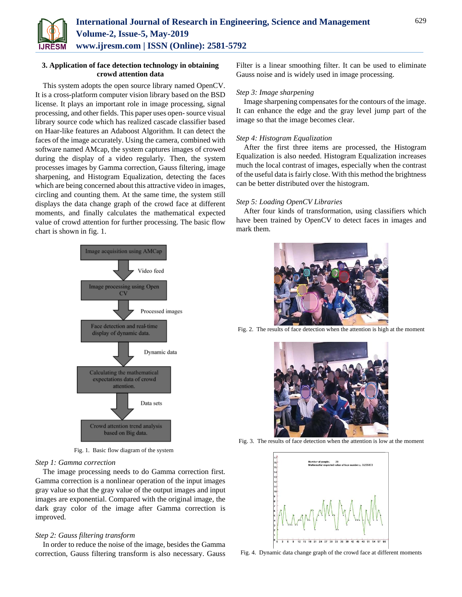

## **3. Application of face detection technology in obtaining crowd attention data**

This system adopts the open source library named OpenCV. It is a cross-platform computer vision library based on the BSD license. It plays an important role in image processing, signal processing, and other fields. This paper uses open-source visual library source code which has realized cascade classifier based on Haar-like features an Adaboost Algorithm. It can detect the faces of the image accurately. Using the camera, combined with software named AMcap, the system captures images of crowed during the display of a video regularly. Then, the system processes images by Gamma correction, Gauss filtering, image sharpening, and Histogram Equalization, detecting the faces which are being concerned about this attractive video in images, circling and counting them. At the same time, the system still displays the data change graph of the crowd face at different moments, and finally calculates the mathematical expected value of crowd attention for further processing. The basic flow chart is shown in fig. 1.



Fig. 1. Basic flow diagram of the system

## *Step 1: Gamma correction*

The image processing needs to do Gamma correction first. Gamma correction is a nonlinear operation of the input images gray value so that the gray value of the output images and input images are exponential. Compared with the original image, the dark gray color of the image after Gamma correction is improved.

## *Step 2: Gauss filtering transform*

In order to reduce the noise of the image, besides the Gamma correction, Gauss filtering transform is also necessary. Gauss Filter is a linear smoothing filter. It can be used to eliminate Gauss noise and is widely used in image processing.

## *Step 3: Image sharpening*

Image sharpening compensates for the contours of the image. It can enhance the edge and the gray level jump part of the image so that the image becomes clear.

## *Step 4: Histogram Equalization*

After the first three items are processed, the Histogram Equalization is also needed. Histogram Equalization increases much the local contrast of images, especially when the contrast of the useful data is fairly close. With this method the brightness can be better distributed over the histogram.

#### *Step 5: Loading OpenCV Libraries*

After four kinds of transformation, using classifiers which have been trained by OpenCV to detect faces in images and mark them.



Fig. 2. The results of face detection when the attention is high at the moment



Fig. 3. The results of face detection when the attention is low at the moment



Fig. 4. Dynamic data change graph of the crowd face at different moments